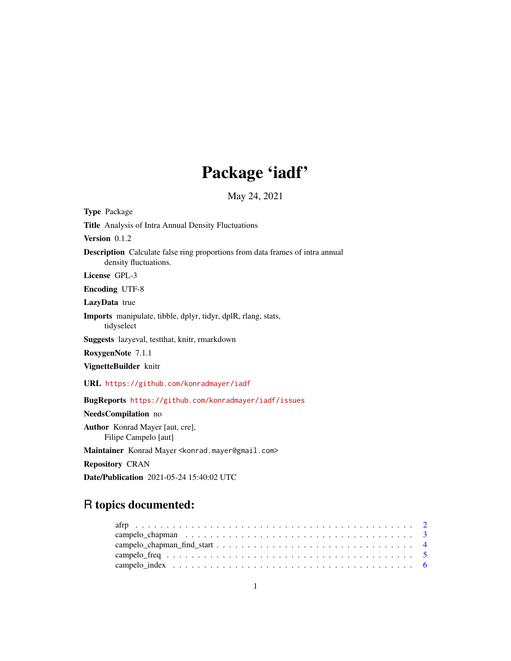# Package 'iadf'

May 24, 2021

<span id="page-0-0"></span>

| <b>Type Package</b>                                                                                           |
|---------------------------------------------------------------------------------------------------------------|
| <b>Title</b> Analysis of Intra Annual Density Fluctuations                                                    |
| Version $0.1.2$                                                                                               |
| <b>Description</b> Calculate false ring proportions from data frames of intra annual<br>density fluctuations. |
| License GPL-3                                                                                                 |
| <b>Encoding UTF-8</b>                                                                                         |
| LazyData true                                                                                                 |
| <b>Imports</b> manipulate, tibble, dplyr, tidyr, dplR, rlang, stats,<br>tidyselect                            |
| Suggests lazyeval, testthat, knitr, rmarkdown                                                                 |
| RoxygenNote 7.1.1                                                                                             |
| VignetteBuilder knitr                                                                                         |
| URL https://github.com/konradmayer/iadf                                                                       |
| BugReports https://github.com/konradmayer/iadf/issues                                                         |
| NeedsCompilation no                                                                                           |
| Author Konrad Mayer [aut, cre],<br>Filipe Campelo [aut]                                                       |
| Maintainer Konrad Mayer < konrad.mayer@gmail.com>                                                             |
| <b>Repository CRAN</b>                                                                                        |
| <b>Date/Publication</b> 2021-05-24 15:40:02 UTC                                                               |

### R topics documented: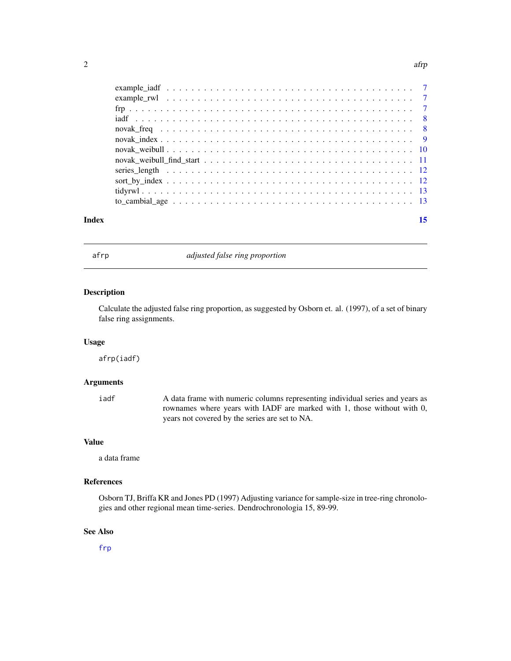#### <span id="page-1-0"></span> $2 \t{a$ frp $a$ fr $b$

| Index |  |  |
|-------|--|--|
|       |  |  |
|       |  |  |
|       |  |  |
|       |  |  |
|       |  |  |
|       |  |  |
|       |  |  |
|       |  |  |
|       |  |  |
|       |  |  |
|       |  |  |
|       |  |  |
|       |  |  |
|       |  |  |

<span id="page-1-1"></span>afrp *adjusted false ring proportion*

#### Description

Calculate the adjusted false ring proportion, as suggested by Osborn et. al. (1997), of a set of binary false ring assignments.

#### Usage

afrp(iadf)

#### Arguments

iadf A data frame with numeric columns representing individual series and years as rownames where years with IADF are marked with 1, those without with 0, years not covered by the series are set to NA.

#### Value

a data frame

#### References

Osborn TJ, Briffa KR and Jones PD (1997) Adjusting variance for sample-size in tree-ring chronologies and other regional mean time-series. Dendrochronologia 15, 89-99.

#### See Also

[frp](#page-6-1)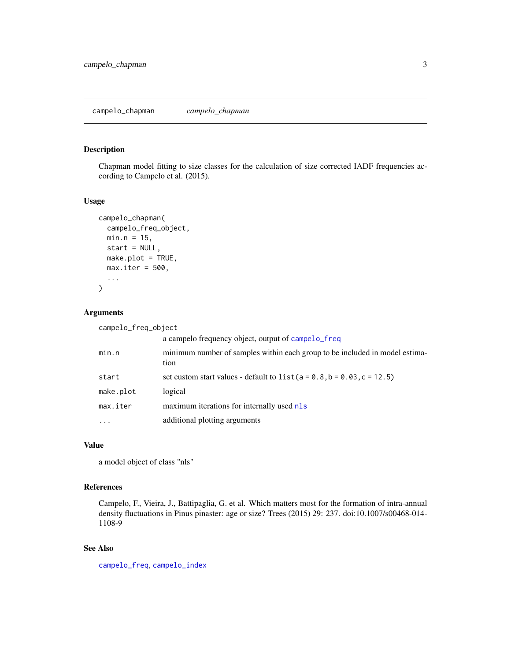#### <span id="page-2-1"></span><span id="page-2-0"></span>Description

Chapman model fitting to size classes for the calculation of size corrected IADF frequencies according to Campelo et al. (2015).

#### Usage

```
campelo_chapman(
 campelo_freq_object,
 min.n = 15,
 start = NULL,
 make.plot = TRUE,
 max.iter = 500,...
)
```
#### Arguments

| campelo_freq_object |                                                                                     |
|---------------------|-------------------------------------------------------------------------------------|
|                     | a campelo frequency object, output of campelo_freq                                  |
| min.n               | minimum number of samples within each group to be included in model estima-<br>tion |
| start               | set custom start values - default to $list(a = 0.8, b = 0.03, c = 12.5)$            |
| make.plot           | logical                                                                             |
| max.iter            | maximum iterations for internally used nls                                          |
| $\cdot$             | additional plotting arguments                                                       |

#### Value

a model object of class "nls"

#### References

Campelo, F., Vieira, J., Battipaglia, G. et al. Which matters most for the formation of intra-annual density fluctuations in Pinus pinaster: age or size? Trees (2015) 29: 237. doi:10.1007/s00468-014- 1108-9

#### See Also

[campelo\\_freq](#page-4-1), [campelo\\_index](#page-5-1)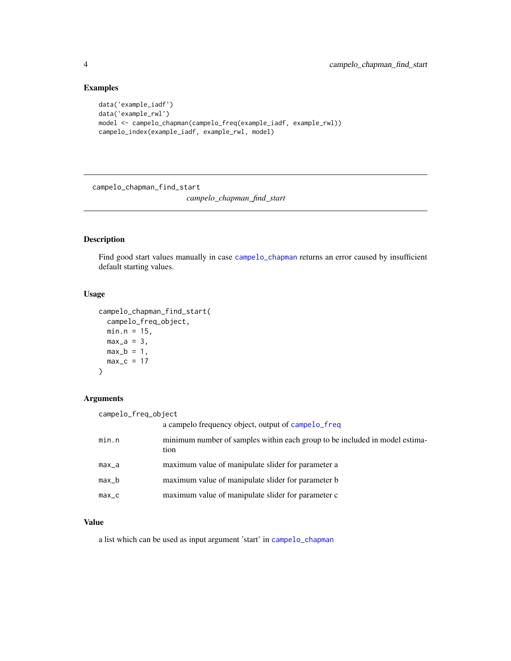#### Examples

```
data('example_iadf')
data('example_rwl')
model <- campelo_chapman(campelo_freq(example_iadf, example_rwl))
campelo_index(example_iadf, example_rwl, model)
```
campelo\_chapman\_find\_start

*campelo\_chapman\_find\_start*

#### Description

Find good start values manually in case [campelo\\_chapman](#page-2-1) returns an error caused by insufficient default starting values.

#### Usage

```
campelo_chapman_find_start(
  campelo_freq_object,
  min.n = 15,
  max_a = 3,
  max_b = 1,
  max_c = 17\mathcal{L}
```
#### Arguments

```
campelo_freq_object
```

|           | a campelo frequency object, output of campelo_freq                                  |
|-----------|-------------------------------------------------------------------------------------|
| min.n     | minimum number of samples within each group to be included in model estima-<br>tion |
| $max_a$   | maximum value of manipulate slider for parameter a                                  |
| $max_b$   | maximum value of manipulate slider for parameter b                                  |
| $max_{c}$ | maximum value of manipulate slider for parameter c                                  |
|           |                                                                                     |

#### Value

a list which can be used as input argument 'start' in [campelo\\_chapman](#page-2-1)

<span id="page-3-0"></span>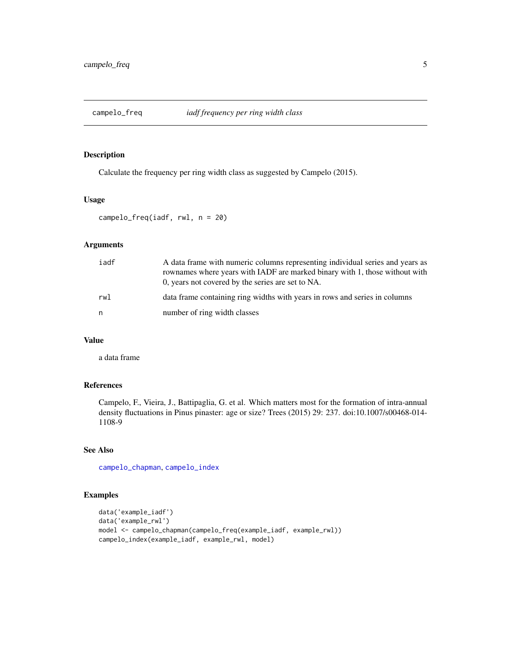<span id="page-4-1"></span><span id="page-4-0"></span>

#### Description

Calculate the frequency per ring width class as suggested by Campelo (2015).

#### Usage

```
campelo_freq(iadf, rwl, n = 20)
```
#### Arguments

| iadf | A data frame with numeric columns representing individual series and years as<br>rownames where years with IADF are marked binary with 1, those without with<br>0, years not covered by the series are set to NA. |
|------|-------------------------------------------------------------------------------------------------------------------------------------------------------------------------------------------------------------------|
| rw1  | data frame containing ring widths with years in rows and series in columns                                                                                                                                        |
| n    | number of ring width classes                                                                                                                                                                                      |

#### Value

a data frame

#### References

Campelo, F., Vieira, J., Battipaglia, G. et al. Which matters most for the formation of intra-annual density fluctuations in Pinus pinaster: age or size? Trees (2015) 29: 237. doi:10.1007/s00468-014- 1108-9

#### See Also

[campelo\\_chapman](#page-2-1), [campelo\\_index](#page-5-1)

#### Examples

```
data('example_iadf')
data('example_rwl')
model <- campelo_chapman(campelo_freq(example_iadf, example_rwl))
campelo_index(example_iadf, example_rwl, model)
```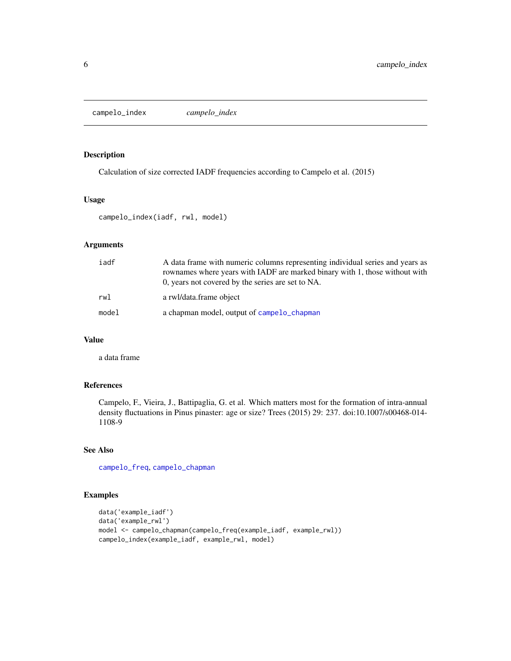<span id="page-5-1"></span><span id="page-5-0"></span>campelo\_index *campelo\_index*

#### Description

Calculation of size corrected IADF frequencies according to Campelo et al. (2015)

#### Usage

campelo\_index(iadf, rwl, model)

#### Arguments

| iadf  | A data frame with numeric columns representing individual series and years as<br>rownames where years with IADF are marked binary with 1, those without with<br>0, years not covered by the series are set to NA. |
|-------|-------------------------------------------------------------------------------------------------------------------------------------------------------------------------------------------------------------------|
| rwl   | a rwl/data.frame object                                                                                                                                                                                           |
| model | a chapman model, output of campelo chapman                                                                                                                                                                        |

#### Value

a data frame

#### References

Campelo, F., Vieira, J., Battipaglia, G. et al. Which matters most for the formation of intra-annual density fluctuations in Pinus pinaster: age or size? Trees (2015) 29: 237. doi:10.1007/s00468-014- 1108-9

#### See Also

[campelo\\_freq](#page-4-1), [campelo\\_chapman](#page-2-1)

#### Examples

```
data('example_iadf')
data('example_rwl')
model <- campelo_chapman(campelo_freq(example_iadf, example_rwl))
campelo_index(example_iadf, example_rwl, model)
```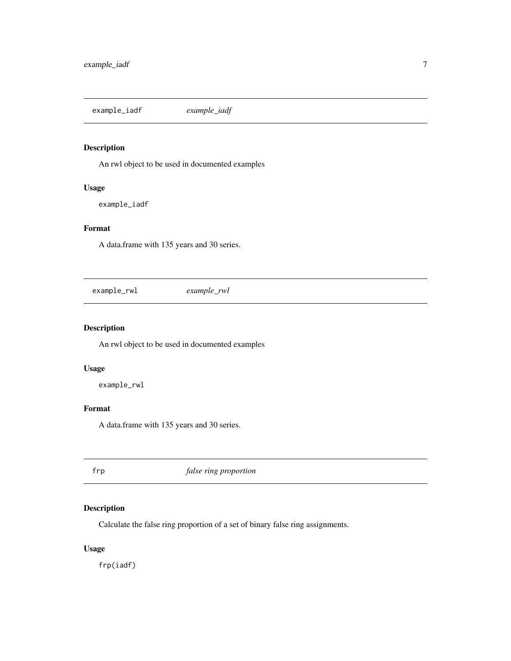<span id="page-6-0"></span>example\_iadf *example\_iadf*

#### Description

An rwl object to be used in documented examples

#### Usage

example\_iadf

#### Format

A data.frame with 135 years and 30 series.

example\_rwl *example\_rwl*

#### Description

An rwl object to be used in documented examples

#### Usage

example\_rwl

#### Format

A data.frame with 135 years and 30 series.

<span id="page-6-1"></span>frp *false ring proportion*

#### Description

Calculate the false ring proportion of a set of binary false ring assignments.

#### Usage

frp(iadf)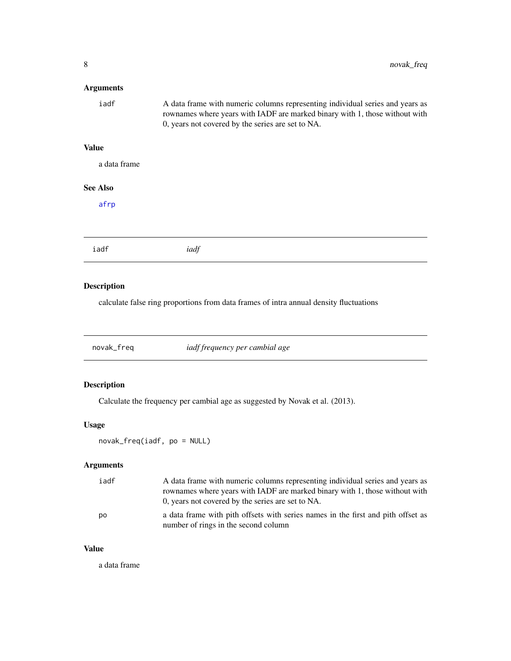#### <span id="page-7-0"></span>Arguments

| iadf | A data frame with numeric columns representing individual series and years as |
|------|-------------------------------------------------------------------------------|
|      | rownames where years with IADF are marked binary with 1, those without with   |
|      | 0, years not covered by the series are set to NA.                             |

#### Value

a data frame

#### See Also

[afrp](#page-1-1)

|--|--|

#### Description

calculate false ring proportions from data frames of intra annual density fluctuations

<span id="page-7-1"></span>novak\_freq *iadf frequency per cambial age*

#### Description

Calculate the frequency per cambial age as suggested by Novak et al. (2013).

#### Usage

novak\_freq(iadf, po = NULL)

#### Arguments

| iadf | A data frame with numeric columns representing individual series and years as<br>rownames where years with IADF are marked binary with 1, those without with<br>0, years not covered by the series are set to NA. |
|------|-------------------------------------------------------------------------------------------------------------------------------------------------------------------------------------------------------------------|
| po   | a data frame with pith offsets with series names in the first and pith offset as<br>number of rings in the second column                                                                                          |

#### Value

a data frame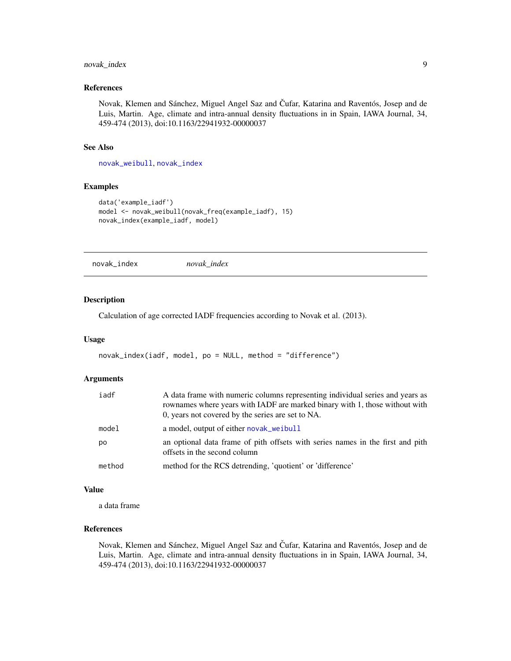#### <span id="page-8-0"></span>novak\_index 9

#### References

Novak, Klemen and Sánchez, Miguel Angel Saz and Čufar, Katarina and Raventós, Josep and de Luis, Martin. Age, climate and intra-annual density fluctuations in in Spain, IAWA Journal, 34, 459-474 (2013), doi:10.1163/22941932-00000037

#### See Also

[novak\\_weibull](#page-9-1), [novak\\_index](#page-8-1)

#### Examples

```
data('example_iadf')
model <- novak_weibull(novak_freq(example_iadf), 15)
novak_index(example_iadf, model)
```
<span id="page-8-1"></span>novak\_index *novak\_index*

#### Description

Calculation of age corrected IADF frequencies according to Novak et al. (2013).

#### Usage

```
novak_index(iadf, model, po = NULL, method = "difference")
```
#### Arguments

| iadf   | A data frame with numeric columns representing individual series and years as<br>rownames where years with IADF are marked binary with 1, those without with<br>0, years not covered by the series are set to NA. |
|--------|-------------------------------------------------------------------------------------------------------------------------------------------------------------------------------------------------------------------|
| model  | a model, output of either novak_weibull                                                                                                                                                                           |
| po     | an optional data frame of pith offsets with series names in the first and pith<br>offsets in the second column                                                                                                    |
| method | method for the RCS detrending, 'quotient' or 'difference'                                                                                                                                                         |

#### Value

a data frame

#### References

Novak, Klemen and Sánchez, Miguel Angel Saz and Čufar, Katarina and Raventós, Josep and de Luis, Martin. Age, climate and intra-annual density fluctuations in in Spain, IAWA Journal, 34, 459-474 (2013), doi:10.1163/22941932-00000037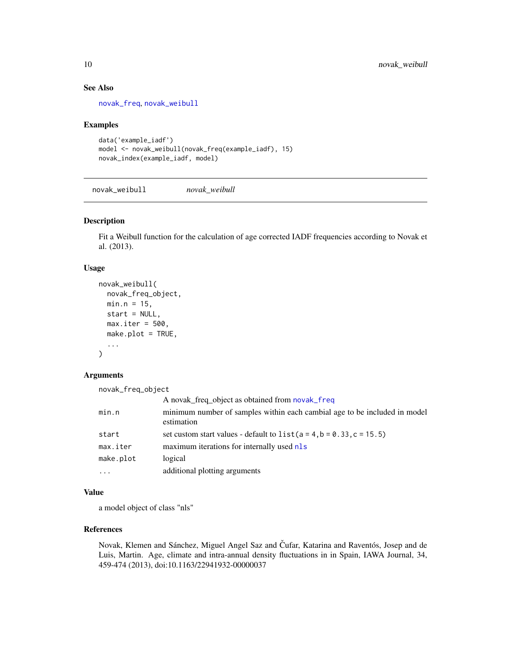#### See Also

[novak\\_freq](#page-7-1), [novak\\_weibull](#page-9-1)

#### Examples

```
data('example_iadf')
model <- novak_weibull(novak_freq(example_iadf), 15)
novak_index(example_iadf, model)
```
<span id="page-9-1"></span>novak\_weibull *novak\_weibull*

#### Description

Fit a Weibull function for the calculation of age corrected IADF frequencies according to Novak et al. (2013).

#### Usage

```
novak_weibull(
  novak_freq_object,
 min.n = 15,
  start = NULL,
 max.iter = 500,
 make.plot = TRUE,
  ...
)
```
#### Arguments

novak\_freq\_object

|           | A novak_freq_object as obtained from novak_freq                                         |
|-----------|-----------------------------------------------------------------------------------------|
| min.n     | minimum number of samples within each cambial age to be included in model<br>estimation |
| start     | set custom start values - default to $list(a = 4, b = 0.33, c = 15.5)$                  |
| max.iter  | maximum iterations for internally used nls                                              |
| make.plot | logical                                                                                 |
| $\cdot$   | additional plotting arguments                                                           |

#### Value

a model object of class "nls"

#### References

Novak, Klemen and Sánchez, Miguel Angel Saz and Čufar, Katarina and Raventós, Josep and de Luis, Martin. Age, climate and intra-annual density fluctuations in in Spain, IAWA Journal, 34, 459-474 (2013), doi:10.1163/22941932-00000037

<span id="page-9-0"></span>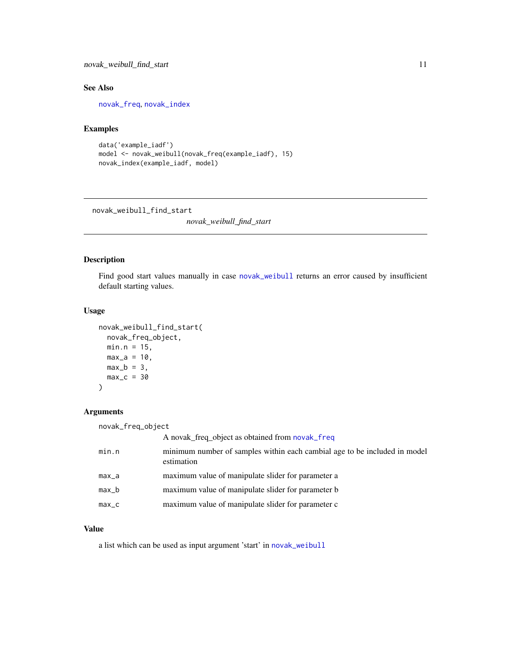#### <span id="page-10-0"></span>novak\_weibull\_find\_start 11

#### See Also

[novak\\_freq](#page-7-1), [novak\\_index](#page-8-1)

#### Examples

```
data('example_iadf')
model <- novak_weibull(novak_freq(example_iadf), 15)
novak_index(example_iadf, model)
```
novak\_weibull\_find\_start

*novak\_weibull\_find\_start*

#### Description

Find good start values manually in case [novak\\_weibull](#page-9-1) returns an error caused by insufficient default starting values.

#### Usage

```
novak_weibull_find_start(
 novak_freq_object,
 min.n = 15,
 max_a = 10,
 max_b = 3,
 max_c = 30)
```
#### Arguments

| novak_freq_object |                                                                                         |
|-------------------|-----------------------------------------------------------------------------------------|
|                   | A novak_freq_object as obtained from novak_freq                                         |
| min.n             | minimum number of samples within each cambial age to be included in model<br>estimation |
| max_a             | maximum value of manipulate slider for parameter a                                      |
| max_b             | maximum value of manipulate slider for parameter b                                      |
| $max_{c}$         | maximum value of manipulate slider for parameter c                                      |

#### Value

a list which can be used as input argument 'start' in [novak\\_weibull](#page-9-1)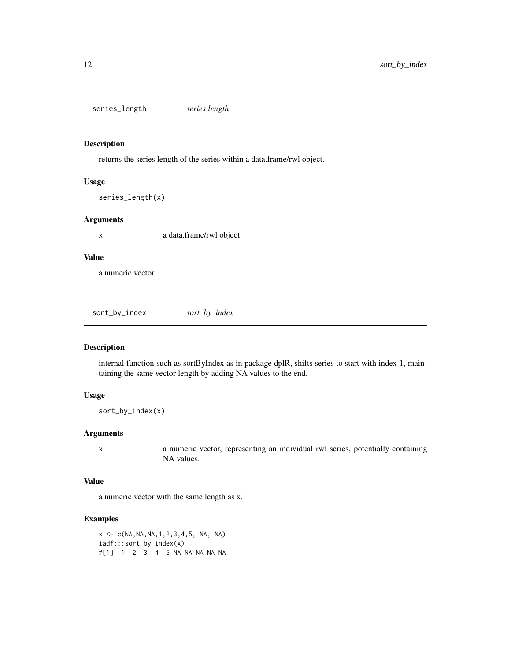<span id="page-11-0"></span>series\_length *series length*

#### Description

returns the series length of the series within a data.frame/rwl object.

#### Usage

```
series_length(x)
```
#### Arguments

x a data.frame/rwl object

#### Value

a numeric vector

sort\_by\_index *sort\_by\_index*

#### Description

internal function such as sortByIndex as in package dplR, shifts series to start with index 1, maintaining the same vector length by adding NA values to the end.

#### Usage

sort\_by\_index(x)

#### Arguments

x a numeric vector, representing an individual rwl series, potentially containing NA values.

#### Value

a numeric vector with the same length as x.

#### Examples

 $x \leq -c(NA, NA, NA, 1, 2, 3, 4, 5, NA, NA)$ iadf:::sort\_by\_index(x) #[1] 1 2 3 4 5 NA NA NA NA NA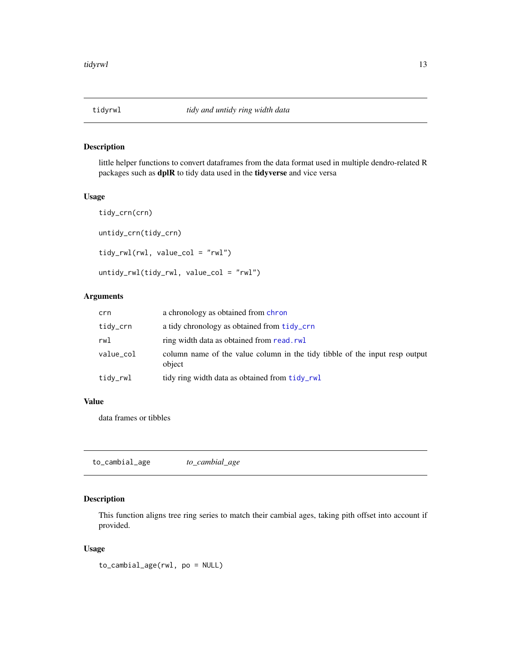#### <span id="page-12-1"></span><span id="page-12-0"></span>Description

little helper functions to convert dataframes from the data format used in multiple dendro-related R packages such as dplR to tidy data used in the tidyverse and vice versa

#### Usage

```
tidy_crn(crn)
untidy_crn(tidy_crn)
tidy_rwl(rwl, value_col = "rwl")
untidy_rwl(tidy_rwl, value_col = "rwl")
```
#### Arguments

| crn       | a chronology as obtained from chron                                                   |
|-----------|---------------------------------------------------------------------------------------|
| tidy_crn  | a tidy chronology as obtained from tidy_crn                                           |
| rwl       | ring width data as obtained from read.rwl                                             |
| value_col | column name of the value column in the tidy tibble of the input resp output<br>object |
| tidy_rwl  | tidy ring width data as obtained from tidy_rwl                                        |

#### Value

data frames or tibbles

to\_cambial\_age *to\_cambial\_age*

#### Description

This function aligns tree ring series to match their cambial ages, taking pith offset into account if provided.

#### Usage

to\_cambial\_age(rwl, po = NULL)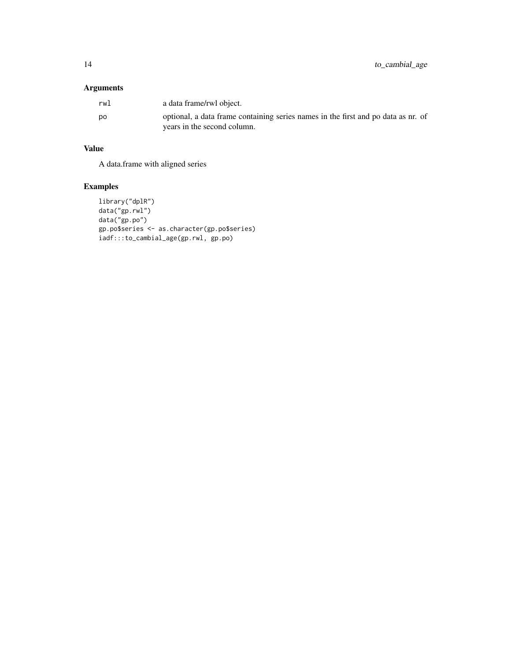#### Arguments

| rwl | a data frame/rwl object.                                                                                         |
|-----|------------------------------------------------------------------------------------------------------------------|
| po  | optional, a data frame containing series names in the first and po data as nr. of<br>years in the second column. |

#### Value

A data.frame with aligned series

### Examples

```
library("dplR")
data("gp.rwl")
data("gp.po")
gp.po$series <- as.character(gp.po$series)
iadf:::to_cambial_age(gp.rwl, gp.po)
```